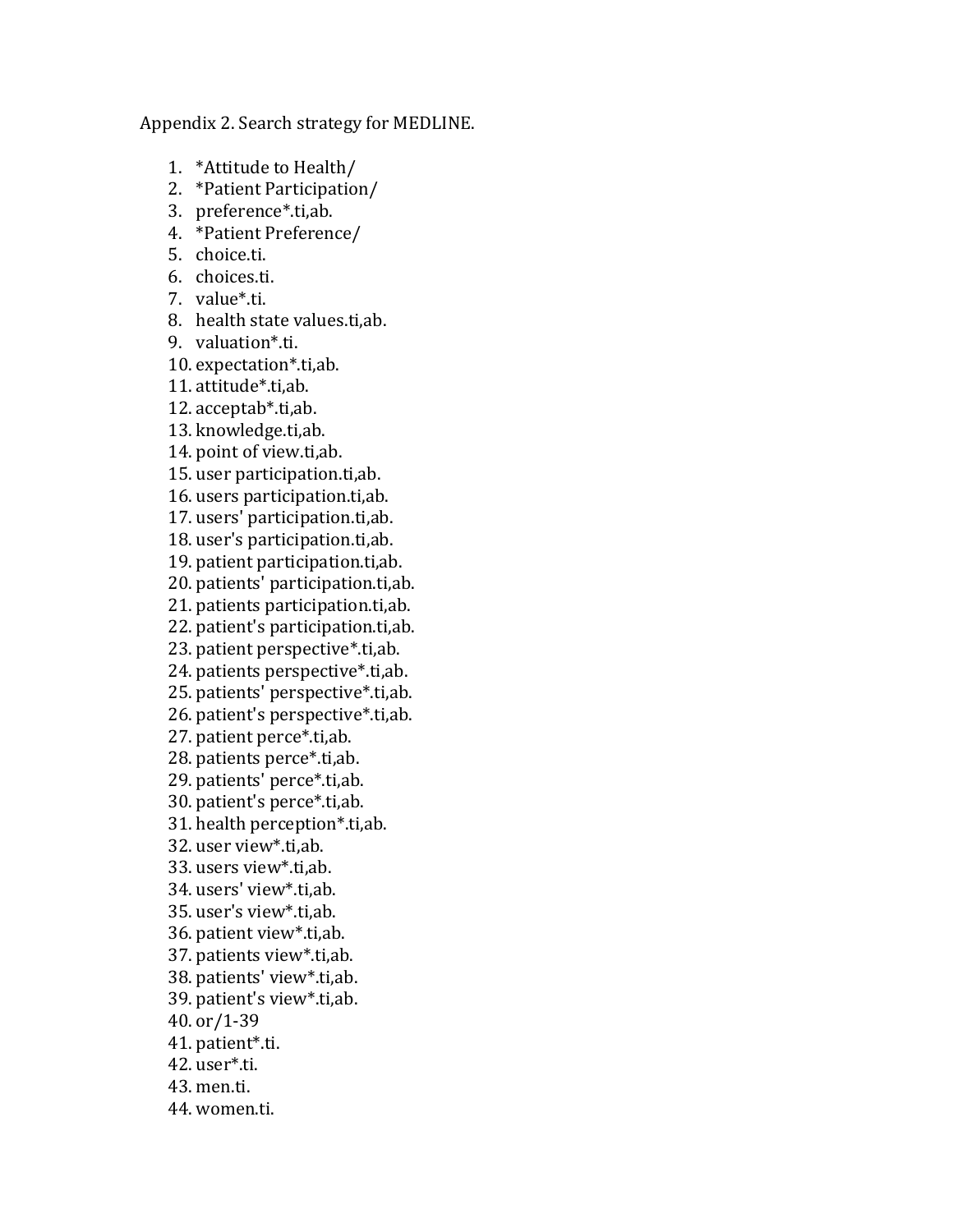Appendix 2. Search strategy for MEDLINE.

- 1. \*Attitude to Health/
- 2. \*Patient Participation/
- 3. preference\*.ti,ab.
- 4. \*Patient Preference/
- 5. choice.ti.
- 6. choices.ti.
- 7. value\*.ti.
- 8. health state values.ti,ab.
- 9. valuation\*.ti.
- 10. expectation\*.ti,ab.
- 11. attitude\*.ti,ab.
- 12. acceptab\*.ti,ab.
- 13. knowledge.ti,ab.
- 14. point of view.ti,ab.
- 15. user participation.ti,ab.
- 16. users participation.ti,ab.
- 17. users' participation.ti,ab.
- 18. user's participation.ti,ab.
- 19. patient participation.ti,ab.
- 20. patients' participation.ti,ab.
- 21. patients participation.ti,ab.
- 22. patient's participation.ti,ab.
- 23. patient perspective\*.ti,ab.
- 24. patients perspective\*.ti,ab.
- 25. patients' perspective\*.ti,ab.
- 26. patient's perspective\*.ti,ab.
- 27. patient perce\*.ti,ab.
- 28. patients perce\*.ti,ab.
- 29. patients' perce\*.ti,ab.
- 30. patient's perce\*.ti,ab.
- 31. health perception\*.ti,ab.
- 32. user view\*.ti,ab.
- 33. users view\*.ti,ab.
- 34. users' view\*.ti,ab.
- 35. user's view\*.ti,ab.
- 36. patient view\*.ti,ab.
- 37. patients view\*.ti,ab.
- 38. patients' view\*.ti,ab.
- 39. patient's view\*.ti,ab.
- 40. or/1-39
- 41. patient\*.ti.
- 42. user\*.ti.
- 43. men.ti.
- 44. women.ti.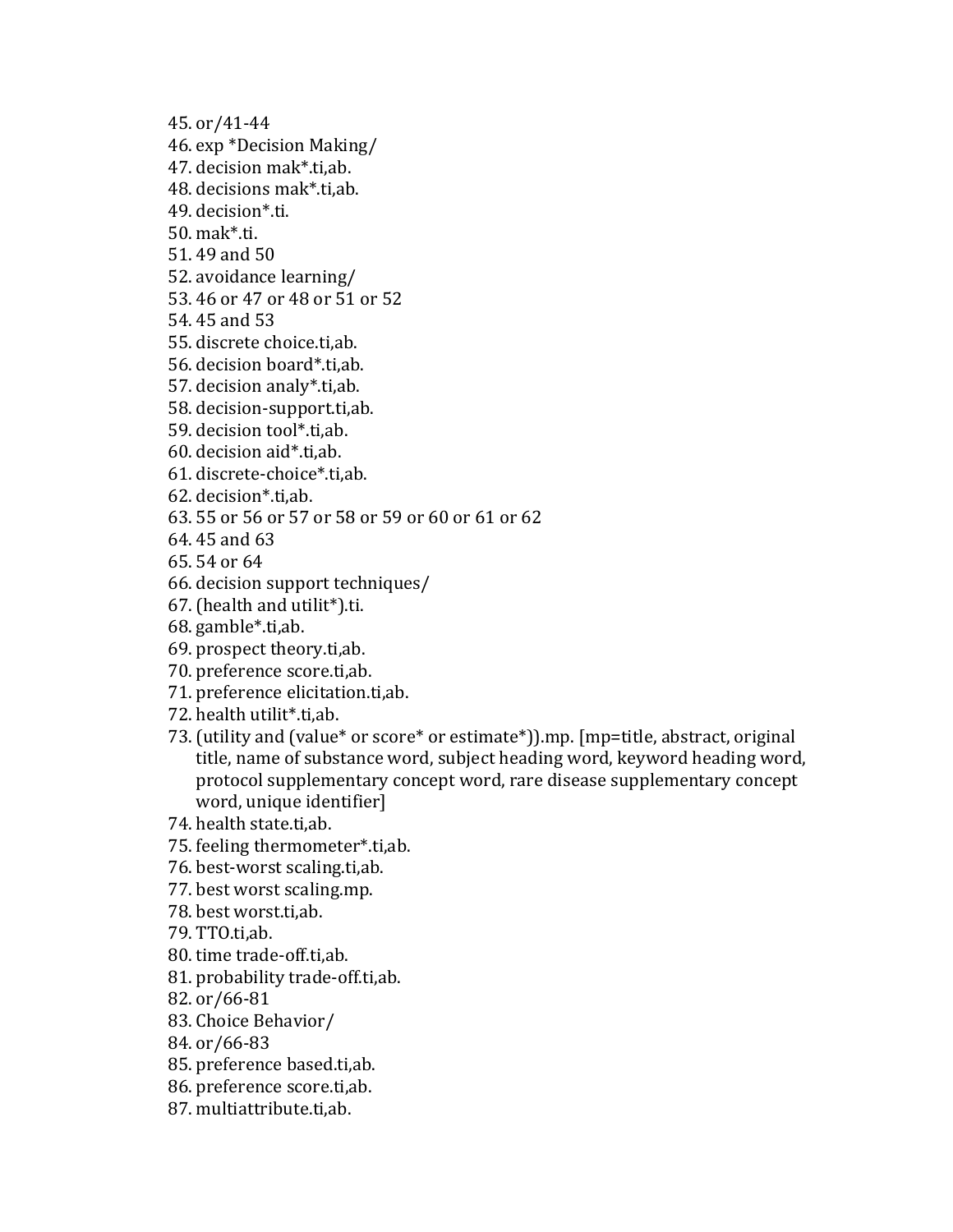45. or/41-44

- 46. exp \*Decision Making/
- 47. decision mak\*.ti,ab.
- 48. decisions mak\*.ti,ab.
- 49. decision\*.ti.
- 50. mak\*.ti.
- 51. 49 and 50
- 52. avoidance learning/
- 53. 46 or 47 or 48 or 51 or 52
- 54. 45 and 53
- 55. discrete choice.ti,ab.
- 56. decision board\*.ti,ab.
- 57. decision analy\*.ti,ab.
- 58. decision-support.ti,ab.
- 59. decision tool\*.ti,ab.
- 60. decision aid\*.ti,ab.
- 61. discrete-choice\*.ti,ab.
- 62. decision\*.ti,ab.
- 63. 55 or 56 or 57 or 58 or 59 or 60 or 61 or 62
- 64. 45 and 63
- 65. 54 or 64
- 66. decision support techniques/
- 67. (health and utilit\*).ti.
- 68. gamble\*.ti,ab.
- 69. prospect theory.ti,ab.
- 70. preference score.ti,ab.
- 71. preference elicitation.ti,ab.
- 72. health utilit\*.ti,ab.
- 73. (utility and (value\* or score\* or estimate\*)).mp. [mp=title, abstract, original title, name of substance word, subject heading word, keyword heading word, protocol supplementary concept word, rare disease supplementary concept word, unique identifier]
- 74. health state.ti,ab.
- 75. feeling thermometer\*.ti,ab.
- 76. best-worst scaling.ti,ab.
- 77. best worst scaling.mp.
- 78. best worst.ti,ab.
- 79. TTO.ti,ab.
- 80. time trade-off.ti,ab.
- 81. probability trade-off.ti,ab.
- 82. or/66-81
- 83. Choice Behavior/
- 84. or/66-83
- 85. preference based.ti,ab.
- 86. preference score.ti,ab.
- 87. multiattribute.ti,ab.